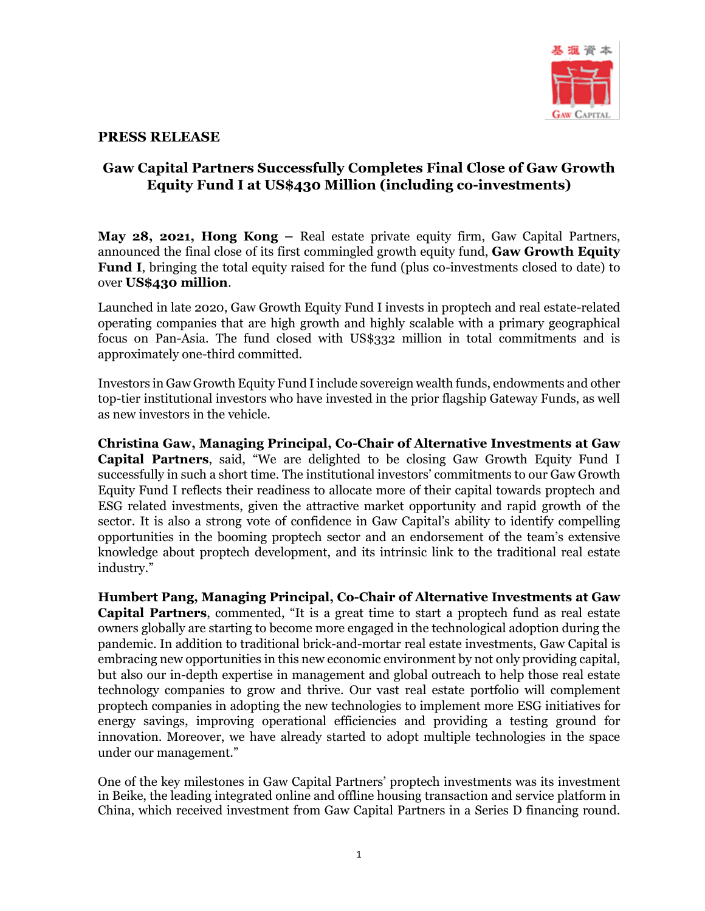

## **PRESS RELEASE**

## **Gaw Capital Partners Successfully Completes Final Close of Gaw Growth Equity Fund I at US\$430 Million (including co-investments)**

**May 28, 2021, Hong Kong –** Real estate private equity firm, Gaw Capital Partners, announced the final close of its first commingled growth equity fund, **Gaw Growth Equity Fund I**, bringing the total equity raised for the fund (plus co-investments closed to date) to over **US\$430 million**.

Launched in late 2020, Gaw Growth Equity Fund I invests in proptech and real estate-related operating companies that are high growth and highly scalable with a primary geographical focus on Pan-Asia. The fund closed with US\$332 million in total commitments and is approximately one-third committed.

Investors in Gaw Growth Equity Fund Iinclude sovereign wealth funds, endowments and other top-tier institutional investors who have invested in the prior flagship Gateway Funds, as well as new investors in the vehicle.

**Christina Gaw, Managing Principal, Co-Chair of Alternative Investments at Gaw Capital Partners**, said, "We are delighted to be closing Gaw Growth Equity Fund I successfully in such a short time. The institutional investors' commitments to our Gaw Growth Equity Fund I reflects their readiness to allocate more of their capital towards proptech and ESG related investments, given the attractive market opportunity and rapid growth of the sector. It is also a strong vote of confidence in Gaw Capital's ability to identify compelling opportunities in the booming proptech sector and an endorsement of the team's extensive knowledge about proptech development, and its intrinsic link to the traditional real estate industry."

**Humbert Pang, Managing Principal, Co-Chair of Alternative Investments at Gaw Capital Partners**, commented, "It is a great time to start a proptech fund as real estate owners globally are starting to become more engaged in the technological adoption during the pandemic. In addition to traditional brick-and-mortar real estate investments, Gaw Capital is embracing new opportunities in this new economic environment by not only providing capital, but also our in-depth expertise in management and global outreach to help those real estate technology companies to grow and thrive. Our vast real estate portfolio will complement proptech companies in adopting the new technologies to implement more ESG initiatives for energy savings, improving operational efficiencies and providing a testing ground for innovation. Moreover, we have already started to adopt multiple technologies in the space under our management."

One of the key milestones in Gaw Capital Partners' proptech investments was its investment in Beike, the leading integrated online and offline housing transaction and service platform in China, which received investment from Gaw Capital Partners in a Series D financing round.